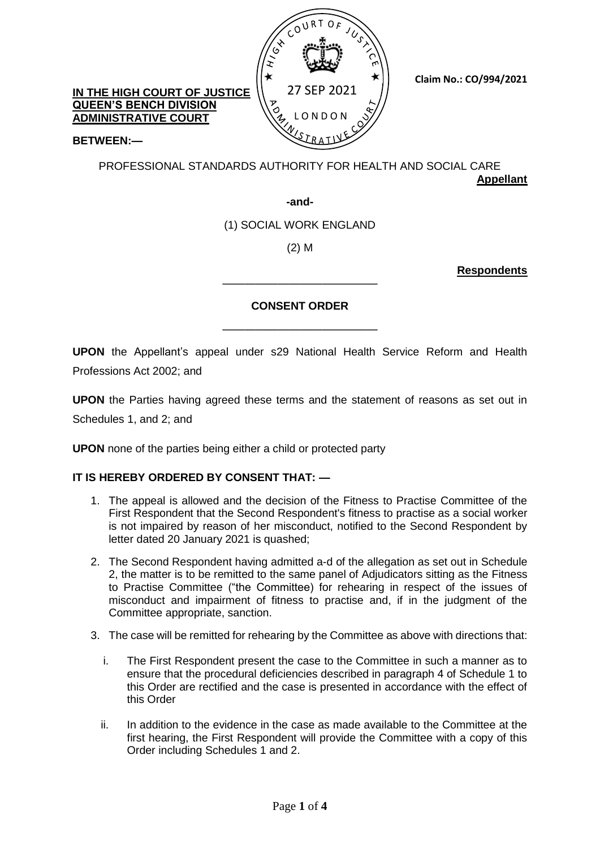## **IN THE HIGH COURT OF JUSTICE QUEEN'S BENCH DIVISION ADMINISTRATIVE COURT**



**Claim No.: CO/994/2021**

### **BETWEEN:—**

PROFESSIONAL STANDARDS AUTHORITY FOR HEALTH AND SOCIAL CARE **Appellant**

**-and-**

(1) SOCIAL WORK ENGLAND

(2) M

#### **Respondents**

# **CONSENT ORDER**

——————————————

——————————————

**UPON** the Appellant's appeal under s29 National Health Service Reform and Health Professions Act 2002; and

**UPON** the Parties having agreed these terms and the statement of reasons as set out in Schedules 1, and 2; and

**UPON** none of the parties being either a child or protected party

## **IT IS HEREBY ORDERED BY CONSENT THAT: —**

- 1. The appeal is allowed and the decision of the Fitness to Practise Committee of the First Respondent that the Second Respondent's fitness to practise as a social worker is not impaired by reason of her misconduct, notified to the Second Respondent by letter dated 20 January 2021 is quashed;
- 2. The Second Respondent having admitted a-d of the allegation as set out in Schedule 2, the matter is to be remitted to the same panel of Adjudicators sitting as the Fitness to Practise Committee ("the Committee) for rehearing in respect of the issues of misconduct and impairment of fitness to practise and, if in the judgment of the Committee appropriate, sanction.
- 3. The case will be remitted for rehearing by the Committee as above with directions that:
	- i. The First Respondent present the case to the Committee in such a manner as to ensure that the procedural deficiencies described in paragraph 4 of Schedule 1 to this Order are rectified and the case is presented in accordance with the effect of this Order
	- ii. In addition to the evidence in the case as made available to the Committee at the first hearing, the First Respondent will provide the Committee with a copy of this Order including Schedules 1 and 2.